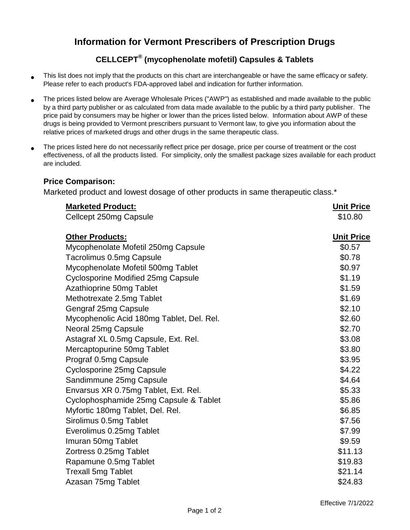## **Information for Vermont Prescribers of Prescription Drugs**

## **CELLCEPT® (mycophenolate mofetil) Capsules & Tablets**

- This list does not imply that the products on this chart are interchangeable or have the same efficacy or safety. Please refer to each product's FDA-approved label and indication for further information.
- The prices listed below are Average Wholesale Prices ("AWP") as established and made available to the public by a third party publisher or as calculated from data made available to the public by a third party publisher. The price paid by consumers may be higher or lower than the prices listed below. Information about AWP of these drugs is being provided to Vermont prescribers pursuant to Vermont law, to give you information about the relative prices of marketed drugs and other drugs in the same therapeutic class.
- The prices listed here do not necessarily reflect price per dosage, price per course of treatment or the cost effectiveness, of all the products listed. For simplicity, only the smallest package sizes available for each product are included.

## **Price Comparison:**

Marketed product and lowest dosage of other products in same therapeutic class.<sup>\*</sup>

| <b>Marketed Product:</b><br>Cellcept 250mg Capsule | <b>Unit Price</b><br>\$10.80 |
|----------------------------------------------------|------------------------------|
| <b>Other Products:</b>                             | <b>Unit Price</b>            |
| Mycophenolate Mofetil 250mg Capsule                | \$0.57                       |
| Tacrolimus 0.5mg Capsule                           | \$0.78                       |
| Mycophenolate Mofetil 500mg Tablet                 | \$0.97                       |
| <b>Cyclosporine Modified 25mg Capsule</b>          | \$1.19                       |
| Azathioprine 50mg Tablet                           | \$1.59                       |
| Methotrexate 2.5mg Tablet                          | \$1.69                       |
| Gengraf 25mg Capsule                               | \$2.10                       |
| Mycophenolic Acid 180mg Tablet, Del. Rel.          | \$2.60                       |
| Neoral 25mg Capsule                                | \$2.70                       |
| Astagraf XL 0.5mg Capsule, Ext. Rel.               | \$3.08                       |
| Mercaptopurine 50mg Tablet                         | \$3.80                       |
| Prograf 0.5mg Capsule                              | \$3.95                       |
| Cyclosporine 25mg Capsule                          | \$4.22                       |
| Sandimmune 25mg Capsule                            | \$4.64                       |
| Envarsus XR 0.75mg Tablet, Ext. Rel.               | \$5.33                       |
| Cyclophosphamide 25mg Capsule & Tablet             | \$5.86                       |
| Myfortic 180mg Tablet, Del. Rel.                   | \$6.85                       |
| Sirolimus 0.5mg Tablet                             | \$7.56                       |
| Everolimus 0.25mg Tablet                           | \$7.99                       |
| Imuran 50mg Tablet                                 | \$9.59                       |
| Zortress 0.25mg Tablet                             | \$11.13                      |
| Rapamune 0.5mg Tablet                              | \$19.83                      |
| <b>Trexall 5mg Tablet</b>                          | \$21.14                      |
| Azasan 75mg Tablet                                 | \$24.83                      |
|                                                    |                              |